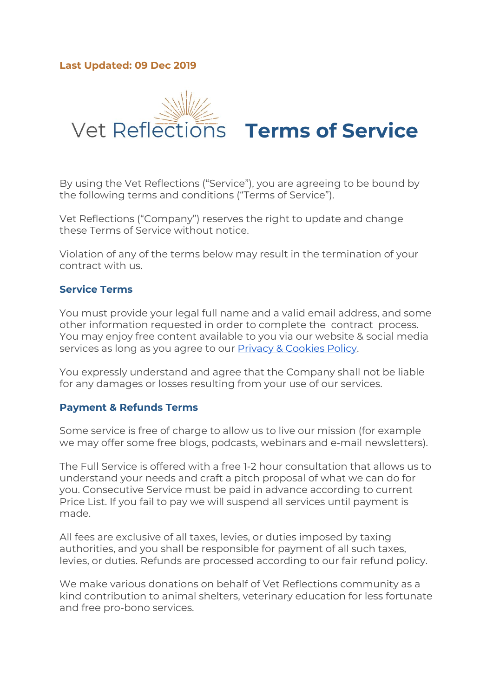# **Last Updated: 09 Dec 2019**



By using the Vet Reflections ("Service"), you are agreeing to be bound by the following terms and conditions ("Terms of Service").

Vet Reflections ("Company") reserves the right to update and change these Terms of Service without notice.

Violation of any of the terms below may result in the termination of your contract with us.

# **Service Terms**

You must provide your legal full name and a valid email address, and some other information requested in order to complete the contract process. You may enjoy free content available to you via our website & social media services as long as you agree to our **Privacy & [Cookies](https://vetreflections.files.wordpress.com/2019/12/vetreflections-privacy-policy.pdf) Policy**.

You expressly understand and agree that the Company shall not be liable for any damages or losses resulting from your use of our services.

#### **Payment & Refunds Terms**

Some service is free of charge to allow us to live our mission (for example we may offer some free blogs, podcasts, webinars and e-mail newsletters).

The Full Service is offered with a free 1-2 hour consultation that allows us to understand your needs and craft a pitch proposal of what we can do for you. Consecutive Service must be paid in advance according to current Price List. If you fail to pay we will suspend all services until payment is made.

All fees are exclusive of all taxes, levies, or duties imposed by taxing authorities, and you shall be responsible for payment of all such taxes, levies, or duties. Refunds are processed according to our fair refund policy.

We make various donations on behalf of Vet Reflections community as a kind contribution to animal shelters, veterinary education for less fortunate and free pro-bono services.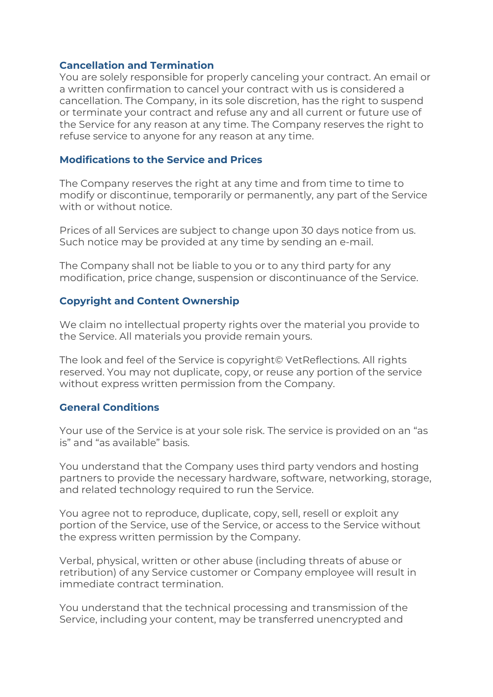### **Cancellation and Termination**

You are solely responsible for properly canceling your contract. An email or a written confirmation to cancel your contract with us is considered a cancellation. The Company, in its sole discretion, has the right to suspend or terminate your contract and refuse any and all current or future use of the Service for any reason at any time. The Company reserves the right to refuse service to anyone for any reason at any time.

#### **Modifications to the Service and Prices**

The Company reserves the right at any time and from time to time to modify or discontinue, temporarily or permanently, any part of the Service with or without notice.

Prices of all Services are subject to change upon 30 days notice from us. Such notice may be provided at any time by sending an e-mail.

The Company shall not be liable to you or to any third party for any modification, price change, suspension or discontinuance of the Service.

### **Copyright and Content Ownership**

We claim no intellectual property rights over the material you provide to the Service. All materials you provide remain yours.

The look and feel of the Service is copyright© VetReflections. All rights reserved. You may not duplicate, copy, or reuse any portion of the service without express written permission from the Company.

#### **General Conditions**

Your use of the Service is at your sole risk. The service is provided on an "as is" and "as available" basis.

You understand that the Company uses third party vendors and hosting partners to provide the necessary hardware, software, networking, storage, and related technology required to run the Service.

You agree not to reproduce, duplicate, copy, sell, resell or exploit any portion of the Service, use of the Service, or access to the Service without the express written permission by the Company.

Verbal, physical, written or other abuse (including threats of abuse or retribution) of any Service customer or Company employee will result in immediate contract termination.

You understand that the technical processing and transmission of the Service, including your content, may be transferred unencrypted and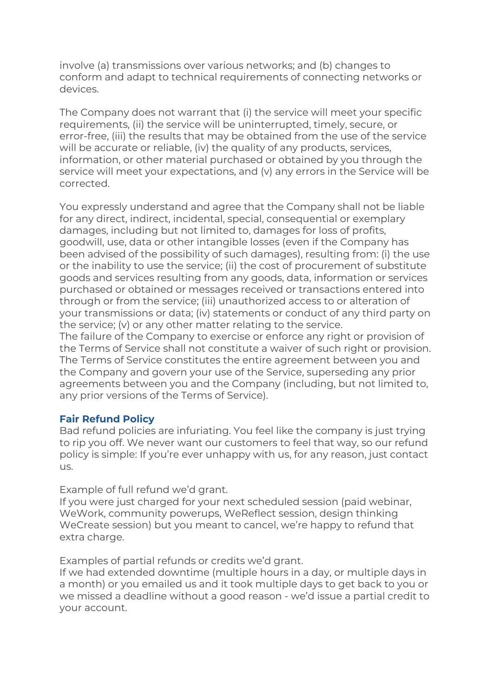involve (a) transmissions over various networks; and (b) changes to conform and adapt to technical requirements of connecting networks or devices.

The Company does not warrant that (i) the service will meet your specific requirements, (ii) the service will be uninterrupted, timely, secure, or error-free, (iii) the results that may be obtained from the use of the service will be accurate or reliable, (iv) the quality of any products, services, information, or other material purchased or obtained by you through the service will meet your expectations, and (v) any errors in the Service will be corrected.

You expressly understand and agree that the Company shall not be liable for any direct, indirect, incidental, special, consequential or exemplary damages, including but not limited to, damages for loss of profits, goodwill, use, data or other intangible losses (even if the Company has been advised of the possibility of such damages), resulting from: (i) the use or the inability to use the service; (ii) the cost of procurement of substitute goods and services resulting from any goods, data, information or services purchased or obtained or messages received or transactions entered into through or from the service; (iii) unauthorized access to or alteration of your transmissions or data; (iv) statements or conduct of any third party on the service; (v) or any other matter relating to the service.

The failure of the Company to exercise or enforce any right or provision of the Terms of Service shall not constitute a waiver of such right or provision. The Terms of Service constitutes the entire agreement between you and the Company and govern your use of the Service, superseding any prior agreements between you and the Company (including, but not limited to, any prior versions of the Terms of Service).

### **Fair Refund Policy**

Bad refund policies are infuriating. You feel like the company is just trying to rip you off. We never want our customers to feel that way, so our refund policy is simple: If you're ever unhappy with us, for any reason, just contact us.

Example of full refund we'd grant.

If you were just charged for your next scheduled session (paid webinar, WeWork, community powerups, WeReflect session, design thinking WeCreate session) but you meant to cancel, we're happy to refund that extra charge.

Examples of partial refunds or credits we'd grant.

If we had extended downtime (multiple hours in a day, or multiple days in a month) or you emailed us and it took multiple days to get back to you or we missed a deadline without a good reason - we'd issue a partial credit to your account.